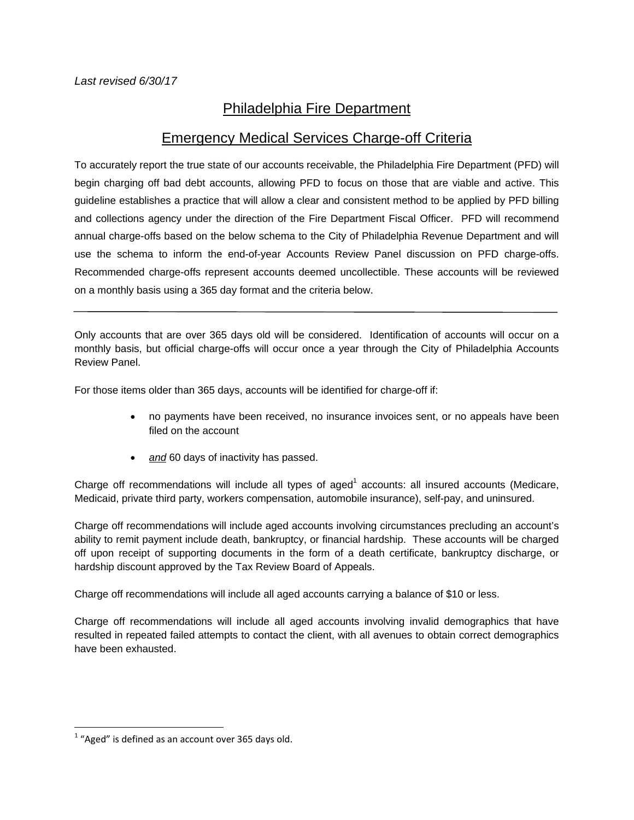## Philadelphia Fire Department

## Emergency Medical Services Charge-off Criteria

To accurately report the true state of our accounts receivable, the Philadelphia Fire Department (PFD) will begin charging off bad debt accounts, allowing PFD to focus on those that are viable and active. This guideline establishes a practice that will allow a clear and consistent method to be applied by PFD billing and collections agency under the direction of the Fire Department Fiscal Officer. PFD will recommend annual charge-offs based on the below schema to the City of Philadelphia Revenue Department and will use the schema to inform the end-of-year Accounts Review Panel discussion on PFD charge-offs. Recommended charge-offs represent accounts deemed uncollectible. These accounts will be reviewed on a monthly basis using a 365 day format and the criteria below.

Only accounts that are over 365 days old will be considered. Identification of accounts will occur on a monthly basis, but official charge-offs will occur once a year through the City of Philadelphia Accounts Review Panel.

For those items older than 365 days, accounts will be identified for charge-off if:

- no payments have been received, no insurance invoices sent, or no appeals have been filed on the account
- *and* 60 days of inactivity has passed.

Charge off recommendations will include all types of aged<sup>1</sup> accounts: all insured accounts (Medicare, Medicaid, private third party, workers compensation, automobile insurance), self-pay, and uninsured.

Charge off recommendations will include aged accounts involving circumstances precluding an account's ability to remit payment include death, bankruptcy, or financial hardship. These accounts will be charged off upon receipt of supporting documents in the form of a death certificate, bankruptcy discharge, or hardship discount approved by the Tax Review Board of Appeals.

Charge off recommendations will include all aged accounts carrying a balance of \$10 or less.

Charge off recommendations will include all aged accounts involving invalid demographics that have resulted in repeated failed attempts to contact the client, with all avenues to obtain correct demographics have been exhausted.

 $1$  "Aged" is defined as an account over 365 days old.